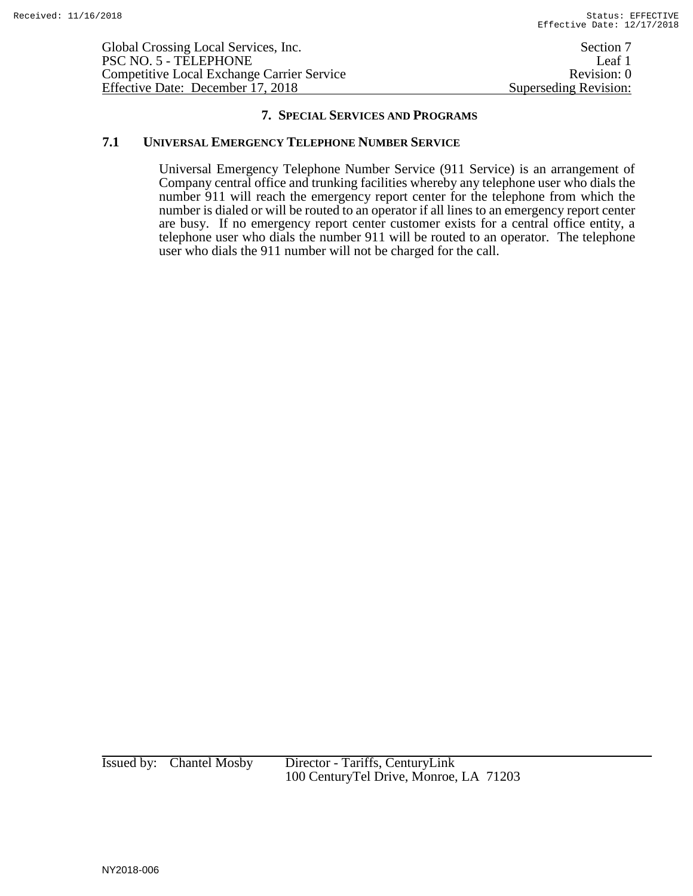Global Crossing Local Services, Inc. Section 7 PSC NO. 5 - TELEPHONE Leaf 1<br>Competitive Local Exchange Carrier Service Revision: 0 Competitive Local Exchange Carrier Service Revision: 0<br>Effective Date: December 17, 2018 Superseding Revision: Effective Date: December 17, 2018

#### **7. SPECIAL SERVICES AND PROGRAMS**

#### **7.1 UNIVERSAL EMERGENCY TELEPHONE NUMBER SERVICE**

Universal Emergency Telephone Number Service (911 Service) is an arrangement of Company central office and trunking facilities whereby any telephone user who dials the number 911 will reach the emergency report center for the telephone from which the number is dialed or will be routed to an operator if all lines to an emergency report center are busy. If no emergency report center customer exists for a central office entity, a telephone user who dials the number 911 will be routed to an operator. The telephone user who dials the 911 number will not be charged for the call.

Issued by: Chantel Mosby Director - Tariffs, CenturyLink 100 CenturyTel Drive, Monroe, LA 71203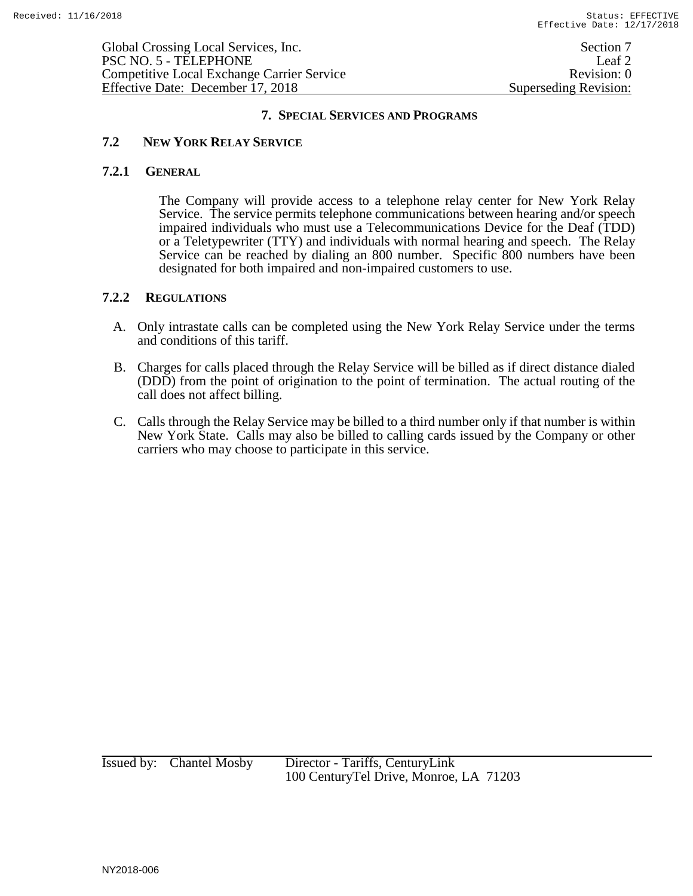#### **7. SPECIAL SERVICES AND PROGRAMS**

## **7.2 NEW YORK RELAY SERVICE**

#### **7.2.1 GENERAL**

The Company will provide access to a telephone relay center for New York Relay Service. The service permits telephone communications between hearing and/or speech impaired individuals who must use a Telecommunications Device for the Deaf (TDD) or a Teletypewriter (TTY) and individuals with normal hearing and speech. The Relay Service can be reached by dialing an 800 number. Specific 800 numbers have been designated for both impaired and non-impaired customers to use.

## **7.2.2 REGULATIONS**

- A. Only intrastate calls can be completed using the New York Relay Service under the terms and conditions of this tariff.
- B. Charges for calls placed through the Relay Service will be billed as if direct distance dialed (DDD) from the point of origination to the point of termination. The actual routing of the call does not affect billing.
- C. Calls through the Relay Service may be billed to a third number only if that number is within New York State. Calls may also be billed to calling cards issued by the Company or other carriers who may choose to participate in this service.